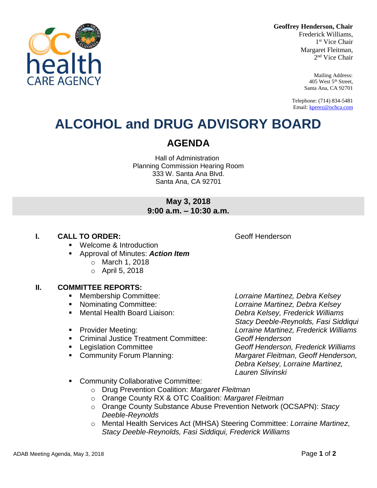**Geoffrey Henderson, Chair**

Frederick Williams, 1 st Vice Chair Margaret Fleitman, 2 nd Vice Chair

> Mailing Address: 405 West 5th Street, Santa Ana, CA 92701

Telephone: (714) 834-5481 Email[: kperez@ochca.com](mailto:kperez@ochca.com)

## **ALCOHOL and DRUG ADVISORY BOARD**

### **AGENDA**

Hall of Administration Planning Commission Hearing Room 333 W. Santa Ana Blvd. Santa Ana, CA 92701

### **May 3, 2018 9:00 a.m. – 10:30 a.m.**

#### **I. CALL TO ORDER: CALL TO ORDER: CALL ACCESS Geoff Henderson**

- **Welcome & Introduction**
- Approval of Minutes: *Action Item*
	- o March 1, 2018
	- o April 5, 2018

#### **II. COMMITTEE REPORTS:**

- 
- 
- 
- 
- Criminal Justice Treatment Committee: *Geoff Henderson*
- 
- 

 Membership Committee: *Lorraine Martinez, Debra Kelsey* Nominating Committee: *Lorraine Martinez, Debra Kelsey* Mental Health Board Liaison: *Debra Kelsey, Frederick Williams Stacy Deeble-Reynolds, Fasi Siddiqui*  Provider Meeting: *Lorraine Martinez, Frederick Williams* Legislation Committee *Geoff Henderson, Frederick Williams* Community Forum Planning: *Margaret Fleitman, Geoff Henderson, Debra Kelsey, Lorraine Martinez, Lauren Slivinski*

- Community Collaborative Committee:
	- o Drug Prevention Coalition: *Margaret Fleitman*
	- o Orange County RX & OTC Coalition: *Margaret Fleitman*
	- o Orange County Substance Abuse Prevention Network (OCSAPN): *Stacy Deeble-Reynolds*
	- o Mental Health Services Act (MHSA) Steering Committee: *Lorraine Martinez*, *Stacy Deeble-Reynolds, Fasi Siddiqui, Frederick Williams*